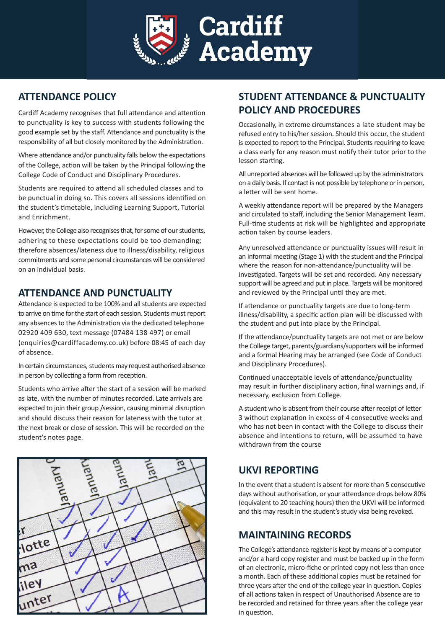

## **ATTENDANCE POLICY**

Cardiff Academy recognises that full attendance and attention to punctuality is key to success with students following the good example set by the staff. Attendance and punctuality is the responsibility of all but closely monitored by the Administration.

Where attendance and/or punctuality falls below the expectations of the College, action will be taken by the Principal following the College Code of Conduct and Disciplinary Procedures.

Students are required to attend all scheduled classes and to be punctual in doing so. This covers all sessions identified on the student's timetable, including Learning Support, Tutorial and Enrichment.

However, the College also recognises that, for some of our students, adhering to these expectations could be too demanding; therefore absences/lateness due to illness/disability, religious commitments and some personal circumstances will be considered on an individual basis.

#### **ATTENDANCE AND PUNCTUALITY**

Attendance is expected to be 100% and all students are expected to arrive on time for the start of each session. Students must report any absences to the Administration via the dedicated telephone 02920 409 630, text message (07484 138 497) or email (enquiries@cardiffacademy.co.uk) before 08:45 of each day of absence.

In certain circumstances, students may request authorised absence in person by collecting a form from reception.

Students who arrive after the start of a session will be marked as late, with the number of minutes recorded. Late arrivals are expected to join their group /session, causing minimal disruption and should discuss their reason for lateness with the tutor at the next break or close of session. This will be recorded on the student's notes page.



# **STUDENT ATTENDANCE & PUNCTUALITY POLICY AND PROCEDURES**

Occasionally, in extreme circumstances a late student may be refused entry to his/her session. Should this occur, the student is expected to report to the Principal. Students requiring to leave a class early for any reason must notify their tutor prior to the lesson starting.

All unreported absences will be followed up by the administrators on a daily basis. If contact is not possible by telephone or in person, a letter will be sent home.

A weekly attendance report will be prepared by the Managers and circulated to staff, including the Senior Management Team. Full-time students at risk will be highlighted and appropriate action taken by course leaders.

Any unresolved attendance or punctuality issues will result in an informal meeting (Stage 1) with the student and the Principal where the reason for non-attendance/punctuality will be investigated. Targets will be set and recorded. Any necessary support will be agreed and put in place. Targets will be monitored and reviewed by the Principal until they are met.

If attendance or punctuality targets are due to long-term illness/disability, a specific action plan will be discussed with the student and put into place by the Principal.

If the attendance/punctuality targets are not met or are below the College target, parents/guardians/supporters will be informed and a formal Hearing may be arranged (see Code of Conduct and Disciplinary Procedures).

Continued unacceptable levels of attendance/punctuality may result in further disciplinary action, final warnings and, if necessary, exclusion from College.

A student who is absent from their course after receipt of letter 3 without explanation in excess of 4 consecutive weeks and who has not been in contact with the College to discuss their absence and intentions to return, will be assumed to have withdrawn from the course

### **UKVI REPORTING**

In the event that a student is absent for more than 5 consecutive days without authorisation, or your attendance drops below 80% (equivalent to 20 teaching hours) then the UKVI will be informed and this may result in the student's study visa being revoked.

### **MAINTAINING RECORDS**

The College's attendance register is kept by means of a computer and/or a hard copy register and must be backed up in the form of an electronic, micro-fiche or printed copy not less than once a month. Each of these additional copies must be retained for three years after the end of the college year in question. Copies of all actions taken in respect of Unauthorised Absence are to be recorded and retained for three years after the college year in question.